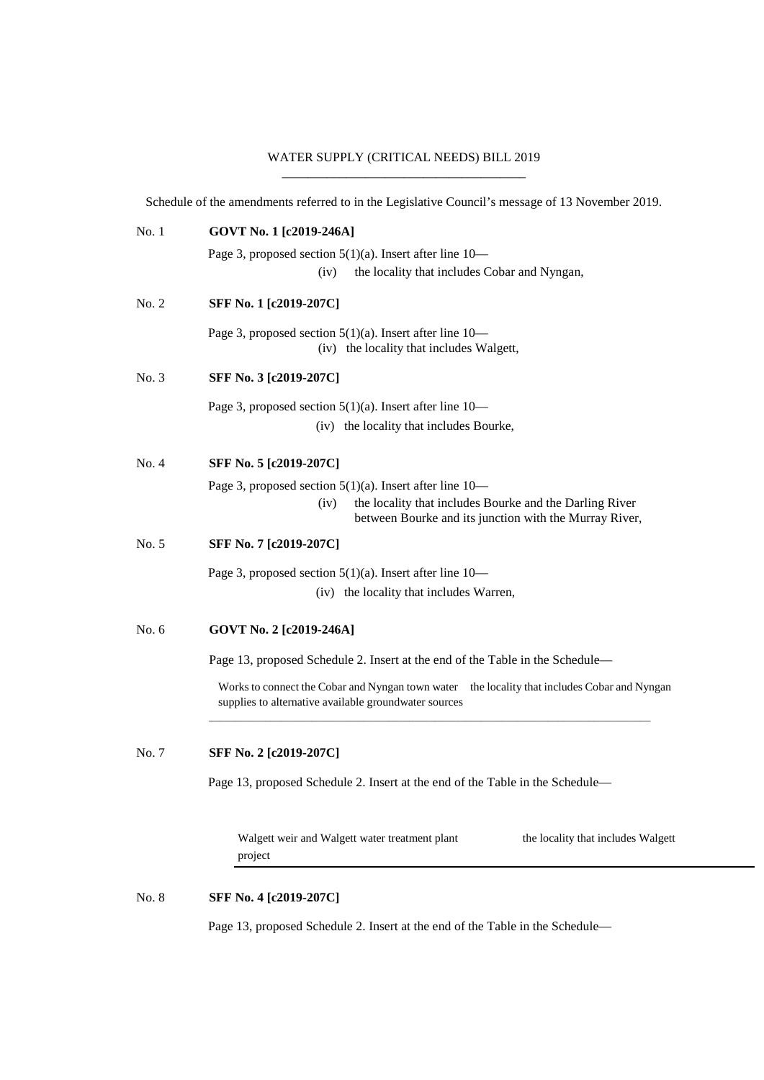## WATER SUPPLY (CRITICAL NEEDS) BILL 2019 \_\_\_\_\_\_\_\_\_\_\_\_\_\_\_\_\_\_\_\_\_\_\_\_\_\_\_\_\_\_\_\_\_\_\_\_\_\_

Schedule of the amendments referred to in the Legislative Council's message of 13 November 2019.

| No. 1   | GOVT No. 1 [c2019-246A]                                                                                                                               |
|---------|-------------------------------------------------------------------------------------------------------------------------------------------------------|
|         | Page 3, proposed section $5(1)(a)$ . Insert after line $10-$                                                                                          |
|         | the locality that includes Cobar and Nyngan,<br>(iv)                                                                                                  |
| No. 2   | SFF No. 1 [c2019-207C]                                                                                                                                |
|         | Page 3, proposed section $5(1)(a)$ . Insert after line 10—<br>(iv) the locality that includes Walgett,                                                |
| No. 3   | SFF No. 3 [c2019-207C]                                                                                                                                |
|         | Page 3, proposed section $5(1)(a)$ . Insert after line 10—                                                                                            |
|         | (iv) the locality that includes Bourke,                                                                                                               |
| No. 4   | SFF No. 5 [c2019-207C]                                                                                                                                |
|         | Page 3, proposed section $5(1)(a)$ . Insert after line 10—                                                                                            |
|         | the locality that includes Bourke and the Darling River<br>(iv)<br>between Bourke and its junction with the Murray River,                             |
| No. 5   | SFF No. 7 [c2019-207C]                                                                                                                                |
|         | Page 3, proposed section $5(1)(a)$ . Insert after line 10—                                                                                            |
|         | (iv) the locality that includes Warren,                                                                                                               |
| No. $6$ | GOVT No. 2 [c2019-246A]                                                                                                                               |
|         | Page 13, proposed Schedule 2. Insert at the end of the Table in the Schedule—                                                                         |
|         | Works to connect the Cobar and Nyngan town water the locality that includes Cobar and Nyngan<br>supplies to alternative available groundwater sources |
| No. 7   | SFF No. 2 [c2019-207C]                                                                                                                                |
|         | Page 13, proposed Schedule 2. Insert at the end of the Table in the Schedule—                                                                         |
|         | Walgett weir and Walgett water treatment plant<br>the locality that includes Walgett<br>project                                                       |
| No. 8   | SFF No. 4 [c2019-207C]                                                                                                                                |
|         | Page 13, proposed Schedule 2. Insert at the end of the Table in the Schedule-                                                                         |